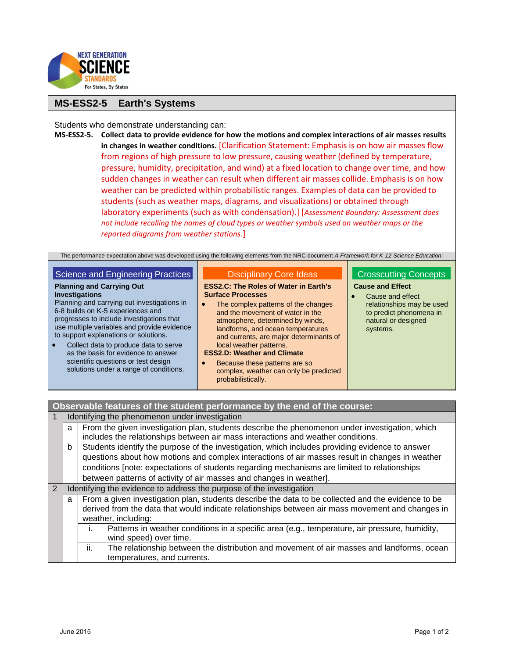

# **MS-ESS2-5 Earth's Systems**

Students who demonstrate understanding can:

**MS-ESS2-5. Collect data to provide evidence for how the motions and complex interactions of air masses results in changes in weather conditions.** [Clarification Statement: Emphasis is on how air masses flow from regions of high pressure to low pressure, causing weather (defined by temperature, pressure, humidity, precipitation, and wind) at a fixed location to change over time, and how sudden changes in weather can result when different air masses collide. Emphasis is on how weather can be predicted within probabilistic ranges. Examples of data can be provided to students (such as weather maps, diagrams, and visualizations) or obtained through laboratory experiments (such as with condensation).] [*Assessment Boundary: Assessment does not include recalling the names of cloud types or weather symbols used on weather maps or the reported diagrams from weather stations.*]

The performance expectation above was developed using the following elements from the NRC document *A Framework for K-12 Science Education*:

## Science and Engineering Practices

## **Planning and Carrying Out**

**Investigations** Planning and carrying out investigations in 6-8 builds on K-5 experiences and progresses to include investigations that use multiple variables and provide evidence to support explanations or solutions.

 Collect data to produce data to serve as the basis for evidence to answer scientific questions or test design solutions under a range of conditions.

#### Disciplinary Core Ideas

#### **ESS2.C: The Roles of Water in Earth's Surface Processes**

• The complex patterns of the changes and the movement of water in the atmosphere, determined by winds, landforms, and ocean temperatures and currents, are major determinants of local weather patterns.

### **ESS2.D: Weather and Climate**

 Because these patterns are so complex, weather can only be predicted probabilistically.

## Crosscutting Concepts **Cause and Effect**

 Cause and effect relationships may be used to predict phenomena in natural or designed systems.

# **Observable features of the student performance by the end of the course:**

|                | Identifying the phenomenon under investigation                       |                                                                                                    |  |
|----------------|----------------------------------------------------------------------|----------------------------------------------------------------------------------------------------|--|
|                | a                                                                    | From the given investigation plan, students describe the phenomenon under investigation, which     |  |
|                |                                                                      | includes the relationships between air mass interactions and weather conditions.                   |  |
|                | b                                                                    | Students identify the purpose of the investigation, which includes providing evidence to answer    |  |
|                |                                                                      | questions about how motions and complex interactions of air masses result in changes in weather    |  |
|                |                                                                      | conditions [note: expectations of students regarding mechanisms are limited to relationships       |  |
|                |                                                                      | between patterns of activity of air masses and changes in weather].                                |  |
| $\overline{2}$ | Identifying the evidence to address the purpose of the investigation |                                                                                                    |  |
|                | a                                                                    | From a given investigation plan, students describe the data to be collected and the evidence to be |  |
|                |                                                                      | derived from the data that would indicate relationships between air mass movement and changes in   |  |
|                |                                                                      | weather, including:                                                                                |  |
|                |                                                                      | Patterns in weather conditions in a specific area (e.g., temperature, air pressure, humidity,      |  |
|                |                                                                      | wind speed) over time.                                                                             |  |
|                |                                                                      | The relationship between the distribution and movement of air masses and landforms, ocean<br>ii.   |  |
|                |                                                                      | temperatures, and currents.                                                                        |  |